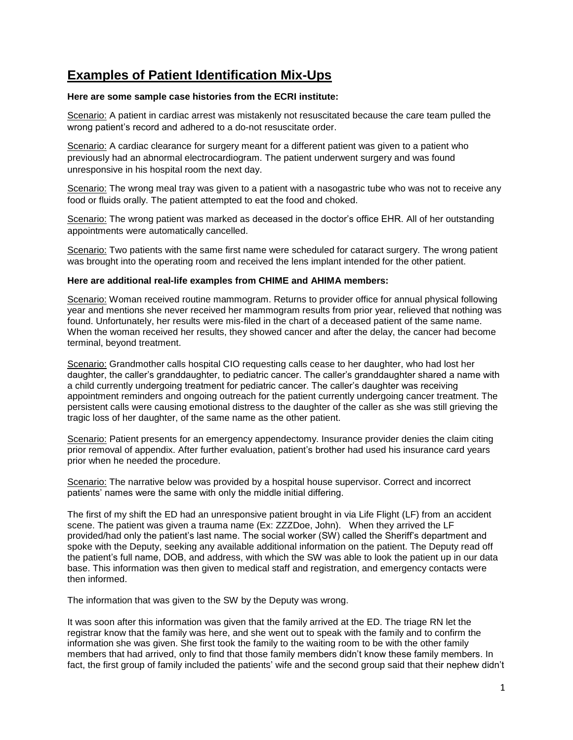## **Examples of Patient Identification Mix-Ups**

## **Here are some sample case histories from the ECRI institute:**

Scenario: A patient in cardiac arrest was mistakenly not resuscitated because the care team pulled the wrong patient's record and adhered to a do-not resuscitate order.

Scenario: A cardiac clearance for surgery meant for a different patient was given to a patient who previously had an abnormal electrocardiogram. The patient underwent surgery and was found unresponsive in his hospital room the next day.

Scenario: The wrong meal tray was given to a patient with a nasogastric tube who was not to receive any food or fluids orally. The patient attempted to eat the food and choked.

Scenario: The wrong patient was marked as deceased in the doctor's office EHR. All of her outstanding appointments were automatically cancelled.

Scenario: Two patients with the same first name were scheduled for cataract surgery. The wrong patient was brought into the operating room and received the lens implant intended for the other patient.

## **Here are additional real-life examples from CHIME and AHIMA members:**

Scenario: Woman received routine mammogram. Returns to provider office for annual physical following year and mentions she never received her mammogram results from prior year, relieved that nothing was found. Unfortunately, her results were mis-filed in the chart of a deceased patient of the same name. When the woman received her results, they showed cancer and after the delay, the cancer had become terminal, beyond treatment.

Scenario: Grandmother calls hospital CIO requesting calls cease to her daughter, who had lost her daughter, the caller's granddaughter, to pediatric cancer. The caller's granddaughter shared a name with a child currently undergoing treatment for pediatric cancer. The caller's daughter was receiving appointment reminders and ongoing outreach for the patient currently undergoing cancer treatment. The persistent calls were causing emotional distress to the daughter of the caller as she was still grieving the tragic loss of her daughter, of the same name as the other patient.

Scenario: Patient presents for an emergency appendectomy. Insurance provider denies the claim citing prior removal of appendix. After further evaluation, patient's brother had used his insurance card years prior when he needed the procedure.

Scenario: The narrative below was provided by a hospital house supervisor. Correct and incorrect patients' names were the same with only the middle initial differing.

The first of my shift the ED had an unresponsive patient brought in via Life Flight (LF) from an accident scene. The patient was given a trauma name (Ex: ZZZDoe, John). When they arrived the LF provided/had only the patient's last name. The social worker (SW) called the Sheriff's department and spoke with the Deputy, seeking any available additional information on the patient. The Deputy read off the patient's full name, DOB, and address, with which the SW was able to look the patient up in our data base. This information was then given to medical staff and registration, and emergency contacts were then informed.

The information that was given to the SW by the Deputy was wrong.

It was soon after this information was given that the family arrived at the ED. The triage RN let the registrar know that the family was here, and she went out to speak with the family and to confirm the information she was given. She first took the family to the waiting room to be with the other family members that had arrived, only to find that those family members didn't know these family members. In fact, the first group of family included the patients' wife and the second group said that their nephew didn't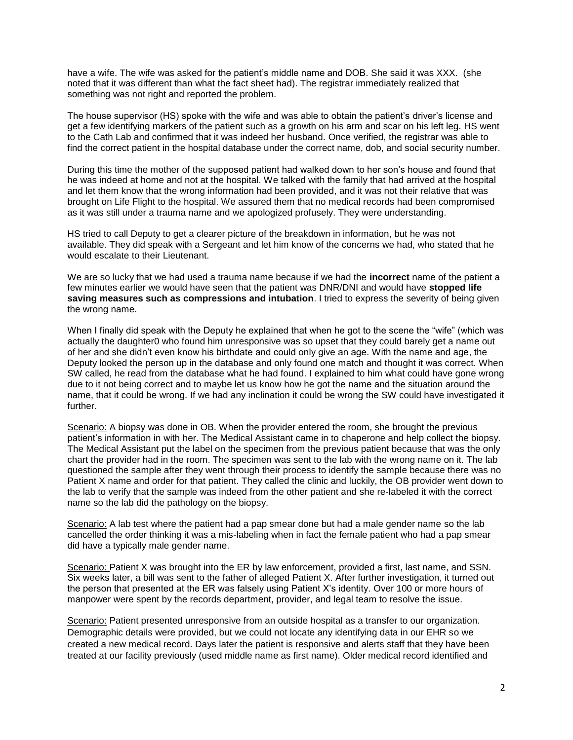have a wife. The wife was asked for the patient's middle name and DOB. She said it was XXX. (she noted that it was different than what the fact sheet had). The registrar immediately realized that something was not right and reported the problem.

The house supervisor (HS) spoke with the wife and was able to obtain the patient's driver's license and get a few identifying markers of the patient such as a growth on his arm and scar on his left leg. HS went to the Cath Lab and confirmed that it was indeed her husband. Once verified, the registrar was able to find the correct patient in the hospital database under the correct name, dob, and social security number.

During this time the mother of the supposed patient had walked down to her son's house and found that he was indeed at home and not at the hospital. We talked with the family that had arrived at the hospital and let them know that the wrong information had been provided, and it was not their relative that was brought on Life Flight to the hospital. We assured them that no medical records had been compromised as it was still under a trauma name and we apologized profusely. They were understanding.

HS tried to call Deputy to get a clearer picture of the breakdown in information, but he was not available. They did speak with a Sergeant and let him know of the concerns we had, who stated that he would escalate to their Lieutenant.

We are so lucky that we had used a trauma name because if we had the **incorrect** name of the patient a few minutes earlier we would have seen that the patient was DNR/DNI and would have **stopped life saving measures such as compressions and intubation**. I tried to express the severity of being given the wrong name.

When I finally did speak with the Deputy he explained that when he got to the scene the "wife" (which was actually the daughter0 who found him unresponsive was so upset that they could barely get a name out of her and she didn't even know his birthdate and could only give an age. With the name and age, the Deputy looked the person up in the database and only found one match and thought it was correct. When SW called, he read from the database what he had found. I explained to him what could have gone wrong due to it not being correct and to maybe let us know how he got the name and the situation around the name, that it could be wrong. If we had any inclination it could be wrong the SW could have investigated it further.

Scenario: A biopsy was done in OB. When the provider entered the room, she brought the previous patient's information in with her. The Medical Assistant came in to chaperone and help collect the biopsy. The Medical Assistant put the label on the specimen from the previous patient because that was the only chart the provider had in the room. The specimen was sent to the lab with the wrong name on it. The lab questioned the sample after they went through their process to identify the sample because there was no Patient X name and order for that patient. They called the clinic and luckily, the OB provider went down to the lab to verify that the sample was indeed from the other patient and she re-labeled it with the correct name so the lab did the pathology on the biopsy.

Scenario: A lab test where the patient had a pap smear done but had a male gender name so the lab cancelled the order thinking it was a mis-labeling when in fact the female patient who had a pap smear did have a typically male gender name.

Scenario: Patient X was brought into the ER by law enforcement, provided a first, last name, and SSN. Six weeks later, a bill was sent to the father of alleged Patient X. After further investigation, it turned out the person that presented at the ER was falsely using Patient X's identity. Over 100 or more hours of manpower were spent by the records department, provider, and legal team to resolve the issue.

Scenario: Patient presented unresponsive from an outside hospital as a transfer to our organization. Demographic details were provided, but we could not locate any identifying data in our EHR so we created a new medical record. Days later the patient is responsive and alerts staff that they have been treated at our facility previously (used middle name as first name). Older medical record identified and